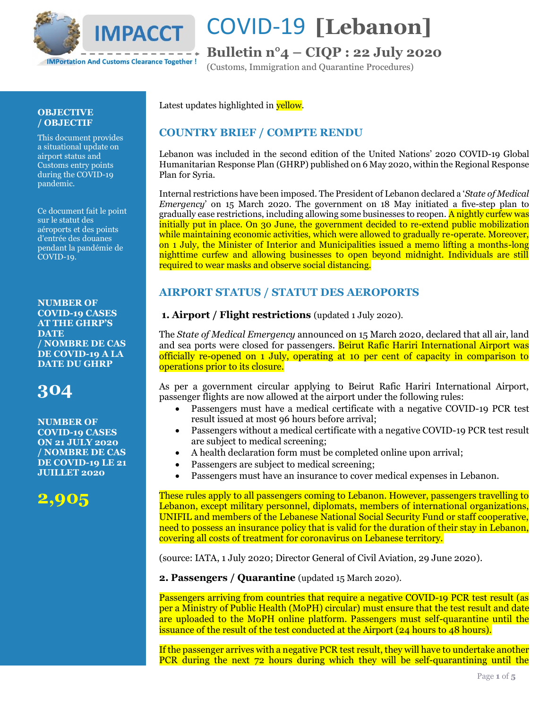

## **Bulletin n°4 – CIQP : 22 July 2020**

(Customs, Immigration and Quarantine Procedures)

### **OBJECTIVE / OBJECTIF**

This document provides a situational update on airport status and Customs entry points during the COVID-19 pandemic.

Ce document fait le point sur le statut des aéroports et des points d'entrée des douanes pendant la pandémie de COVID-19.

**NUMBER OF COVID-19 CASES AT THE GHRP'S DATE / NOMBRE DE CAS DE COVID-19 A LA DATE DU GHRP**

## **304**

**NUMBER OF COVID-19 CASES ON 21 JULY 2020 / NOMBRE DE CAS DE COVID-19 LE 21 JUILLET 2020**



### Latest updates highlighted in **yellow**.

### **COUNTRY BRIEF / COMPTE RENDU**

Lebanon was included in the second edition of the United Nations' 2020 COVID-19 Global Humanitarian Response Plan (GHRP) published on 6 May 2020, within the Regional Response Plan for Syria.

Internal restrictions have been imposed. The President of Lebanon declared a '*State of Medical Emergency*' on 15 March 2020. The government on 18 May initiated a five-step plan to gradually ease restrictions, including allowing some businesses to reopen. A nightly curfew was initially put in place. On 30 June, the government decided to re-extend public mobilization while maintaining economic activities, which were allowed to gradually re-operate. Moreover, on 1 July, the Minister of Interior and Municipalities issued a memo lifting a months-long nighttime curfew and allowing businesses to open beyond midnight. Individuals are still required to wear masks and observe social distancing.

## **AIRPORT STATUS / STATUT DES AEROPORTS**

**1. Airport / Flight restrictions** (updated 1 July 2020).

The *State of Medical Emergency* announced on 15 March 2020, declared that all air, land and sea ports were closed for passengers. Beirut Rafic Hariri International Airport was officially re-opened on 1 July, operating at 10 per cent of capacity in comparison to operations prior to its closure.

As per a government circular applying to Beirut Rafic Hariri International Airport, passenger flights are now allowed at the airport under the following rules:

- Passengers must have a medical certificate with a negative COVID-19 PCR test result issued at most 96 hours before arrival;
- Passengers without a medical certificate with a negative COVID-19 PCR test result are subject to medical screening;
- A health declaration form must be completed online upon arrival;
- Passengers are subject to medical screening;
- Passengers must have an insurance to cover medical expenses in Lebanon.

These rules apply to all passengers coming to Lebanon. However, passengers travelling to Lebanon, except military personnel, diplomats, members of international organizations, UNIFIL and members of the Lebanese National Social Security Fund or staff cooperative, need to possess an insurance policy that is valid for the duration of their stay in Lebanon, covering all costs of treatment for coronavirus on Lebanese territory.

(source: IATA, 1 July 2020; Director General of Civil Aviation, 29 June 2020).

**2. Passengers / Quarantine** (updated 15 March 2020).

Passengers arriving from countries that require a negative COVID-19 PCR test result (as per a Ministry of Public Health (MoPH) circular) must ensure that the test result and date are uploaded to the MoPH online platform. Passengers must self-quarantine until the issuance of the result of the test conducted at the Airport (24 hours to 48 hours).

If the passenger arrives with a negative PCR test result, they will have to undertake another PCR during the next 72 hours during which they will be self-quarantining until the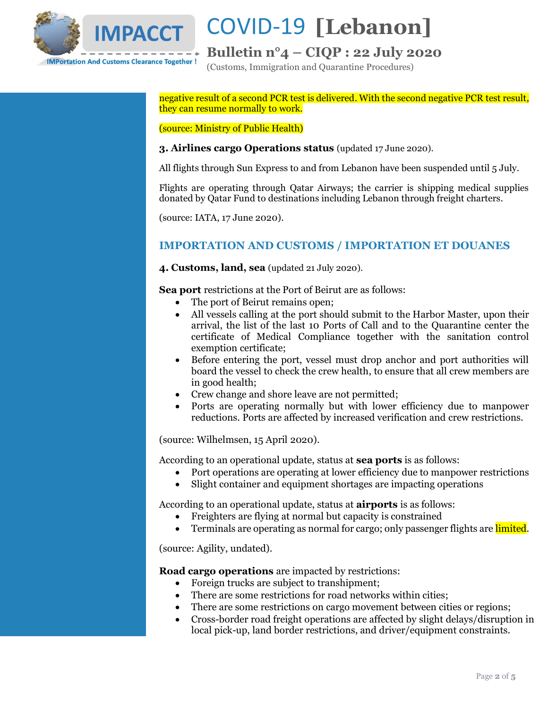

## **Bulletin n°4 – CIQP : 22 July 2020**

(Customs, Immigration and Quarantine Procedures)

negative result of a second PCR test is delivered. With the second negative PCR test result, they can resume normally to work.

(source: Ministry of Public Health)

### **3. Airlines cargo Operations status** (updated 17 June 2020).

All flights through Sun Express to and from Lebanon have been suspended until 5 July.

Flights are operating through Qatar Airways; the carrier is shipping medical supplies donated by Qatar Fund to destinations including Lebanon through freight charters.

(source: IATA, 17 June 2020).

### **IMPORTATION AND CUSTOMS / IMPORTATION ET DOUANES**

**4. Customs, land, sea** (updated 21 July 2020).

**Sea port** restrictions at the Port of Beirut are as follows:

- The port of Beirut remains open;
- All vessels calling at the port should submit to the Harbor Master, upon their arrival, the list of the last 10 Ports of Call and to the Quarantine center the certificate of Medical Compliance together with the sanitation control exemption certificate;
- Before entering the port, vessel must drop anchor and port authorities will board the vessel to check the crew health, to ensure that all crew members are in good health;
- Crew change and shore leave are not permitted;
- Ports are operating normally but with lower efficiency due to manpower reductions. Ports are affected by increased verification and crew restrictions.

(source: Wilhelmsen, 15 April 2020).

According to an operational update, status at **sea ports** is as follows:

- Port operations are operating at lower efficiency due to manpower restrictions
- Slight container and equipment shortages are impacting operations

According to an operational update, status at **airports** is as follows:

- Freighters are flying at normal but capacity is constrained
- Terminals are operating as normal for cargo; only passenger flights are limited.

(source: Agility, undated).

**Road cargo operations** are impacted by restrictions:

- Foreign trucks are subject to transhipment;
- There are some restrictions for road networks within cities;
- There are some restrictions on cargo movement between cities or regions;
- Cross-border road freight operations are affected by slight delays/disruption in local pick-up, land border restrictions, and driver/equipment constraints.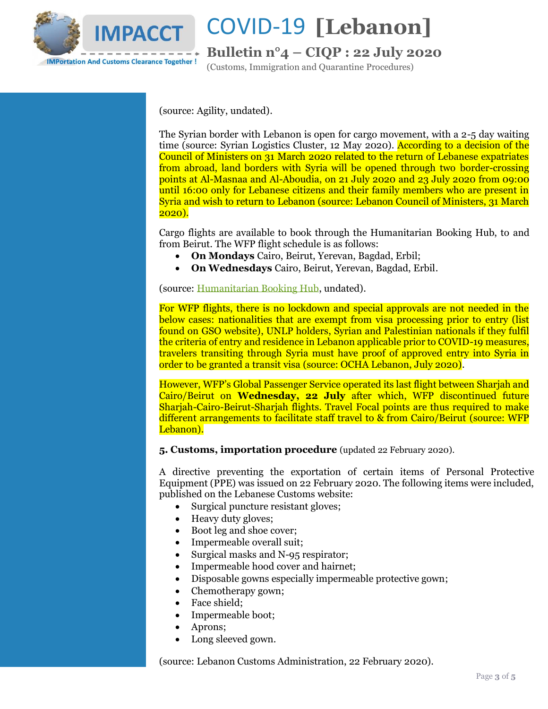

## **Bulletin n°4 – CIQP : 22 July 2020**

(Customs, Immigration and Quarantine Procedures)

(source: Agility, undated).

The Syrian border with Lebanon is open for cargo movement, with a 2-5 day waiting time (source: Syrian Logistics Cluster, 12 May 2020). According to a decision of the Council of Ministers on 31 March 2020 related to the return of Lebanese expatriates from abroad, land borders with Syria will be opened through two border-crossing points at Al-Masnaa and Al-Aboudia, on 21 July 2020 and 23 July 2020 from 09:00 until 16:00 only for Lebanese citizens and their family members who are present in Syria and wish to return to Lebanon (source: Lebanon Council of Ministers, 31 March 2020).

Cargo flights are available to book through the Humanitarian Booking Hub, to and from Beirut. The WFP flight schedule is as follows:

- **On Mondays** Cairo, Beirut, Yerevan, Bagdad, Erbil;
- **On Wednesdays** Cairo, Beirut, Yerevan, Bagdad, Erbil.

(source[: Humanitarian Booking Hub,](https://humanitarianbooking.wfp.org/en/un-flights/) undated).

For WFP flights, there is no lockdown and special approvals are not needed in the below cases: nationalities that are exempt from visa processing prior to entry (list found on GSO website), UNLP holders, Syrian and Palestinian nationals if they fulfil the criteria of entry and residence in Lebanon applicable prior to COVID-19 measures, travelers transiting through Syria must have proof of approved entry into Syria in order to be granted a transit visa (source: OCHA Lebanon, July 2020).

However, WFP's Global Passenger Service operated its last flight between Sharjah and Cairo/Beirut on **Wednesday, 22 July** after which, WFP discontinued future Sharjah-Cairo-Beirut-Sharjah flights. Travel Focal points are thus required to make different arrangements to facilitate staff travel to & from Cairo/Beirut (source: WFP Lebanon).

**5. Customs, importation procedure** (updated 22 February 2020).

A directive preventing the exportation of certain items of Personal Protective Equipment (PPE) was issued on 22 February 2020. The following items were included, published on the Lebanese Customs website:

- Surgical puncture resistant gloves;
- Heavy duty gloves;
- Boot leg and shoe cover;
- Impermeable overall suit;
- Surgical masks and N-95 respirator;
- Impermeable hood cover and hairnet;
- Disposable gowns especially impermeable protective gown;
- Chemotherapy gown;
- Face shield;
- Impermeable boot;
- Aprons;
- Long sleeved gown.

(source: Lebanon Customs Administration, 22 February 2020).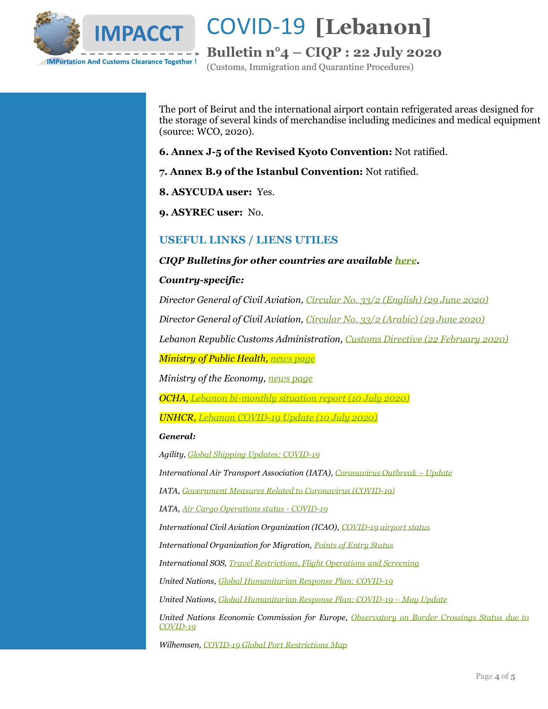

**Bulletin n°4 – CIQP : 22 July 2020**

(Customs, Immigration and Quarantine Procedures)

The port of Beirut and the international airport contain refrigerated areas designed for the storage of several kinds of merchandise including medicines and medical equipment (source: WCO, 2020).

**6. Annex J-5 of the Revised Kyoto Convention:** Not ratified.

**7. Annex B.9 of the Istanbul Convention:** Not ratified.

**8. ASYCUDA user:** Yes.

**9. ASYREC user:** No.

### **USEFUL LINKS / LIENS UTILES**

#### *CIQP Bulletins for other countries are available [here.](https://vosocc.unocha.org/GetFile.aspx?xml=rss/5033i2la_l1.html&tid=5033&laid=1&sm=-SM34023-)*

#### *Country-specific:*

*Director General of Civil Aviation[, Circular No. 33/2 \(English\) \(29 June 2020\)](https://vosocc.unocha.org/GetFile.aspx?file=101537_COVID-19%20-%20Civil%20Aviation%20Circular%20Nr%2033%20(English)%20(29%20June%202020).pdf)*

*Director General of Civil Aviation[, Circular No. 33/2 \(Arabic\) \(29 June 2020\)](https://vosocc.unocha.org/GetFile.aspx?file=101536_COVID-19%20-%20Civil%20Aviation%20Circular%20Nr%2033%20(Arabic)%20(29%20June%202020).pdf)*

*Lebanon Republic Customs Administration[, Customs Directive \(22 February 2020\)](https://vosocc.unocha.org/GetFile.aspx?file=100892_Preventing%20the%20export%20of%20medical%20personal%20protective%20equipment%2022%20Feb%202020.pdf)*

*Ministry of Public Health, [news page](https://www.moph.gov.lb/en/Pages/127/25282/circular-the-minister-of-public-health-hospitalization#/en/Pages/127/35215/minister-hasan-chairs-a-committee-s-meeting-on-the-preventive-measures-to-curb-the-spread-of-covid-1)*

*Ministry of the Economy[, news page](https://www.economy.gov.lb/ar/announcements/)*

*OCHA, [Lebanon bi-monthly situation report \(10 July 2020\)](https://reliefweb.int/report/lebanon/covid-19-response-lebanon-bi-monthly-situation-report-10-july-2020)*

*UNHCR[, Lebanon COVID-19 Update \(10 July 2020\)](https://reporting.unhcr.org/sites/default/files/UNHCR%20Lebanon%20COVID-19%20Update%20-%2010JUL20_0.pdf)*

#### *General:*

*Agility[, Global Shipping Updates: COVID-19](https://www.agility.com/insights/COVID19/homepage/)*

*International Air Transport Association (IATA)[, Coronavirus Outbreak](https://www.iatatravelcentre.com/international-travel-document-news/1580226297.htm) – Update*

*IATA[, Government Measures Related to Coronavirus \(COVID-19\)](https://www.iata.org/en/programs/safety/health/diseases/government-measures-related-to-coronavirus/)*

*IATA[, Air Cargo Operations status -](https://www.tact-online.org/covid-19/carrier) COVID-19*

*International Civil Aviation Organization (ICAO)[, COVID-19 airport status](https://www.icao.int/safety/Pages/COVID-19-Airport-Status.aspx)*

*International Organization for Migration, [Points of Entry Status](https://migration.iom.int/)*

*International SOS[, Travel Restrictions, Flight Operations and Screening](https://pandemic.internationalsos.com/2019-ncov/ncov-travel-restrictions-flight-operations-and-screening)*

*United Nations[, Global Humanitarian Response Plan: COVID-19](https://www.unocha.org/sites/unocha/files/Global-Humanitarian-Response-Plan-COVID-19.pdf)*

*United Nations[, Global Humanitarian Response Plan: COVID-19](https://www.unocha.org/sites/unocha/files/GHRP-COVID19_May_Update.pdf) – May Update*

*United Nations Economic Commission for Europe, [Observatory on Border Crossings Status due to](https://wiki.unece.org/display/CTRBSBC/Observatory+on+Border+Crossings+Status+due+to+COVID-19+Home)  [COVID-19](https://wiki.unece.org/display/CTRBSBC/Observatory+on+Border+Crossings+Status+due+to+COVID-19+Home)*

*Wilhemsen, [COVID-19 Global Port Restrictions Map](https://www.wilhelmsen.com/ships-agency/campaigns/coronavirus/coronavirus-map/)*